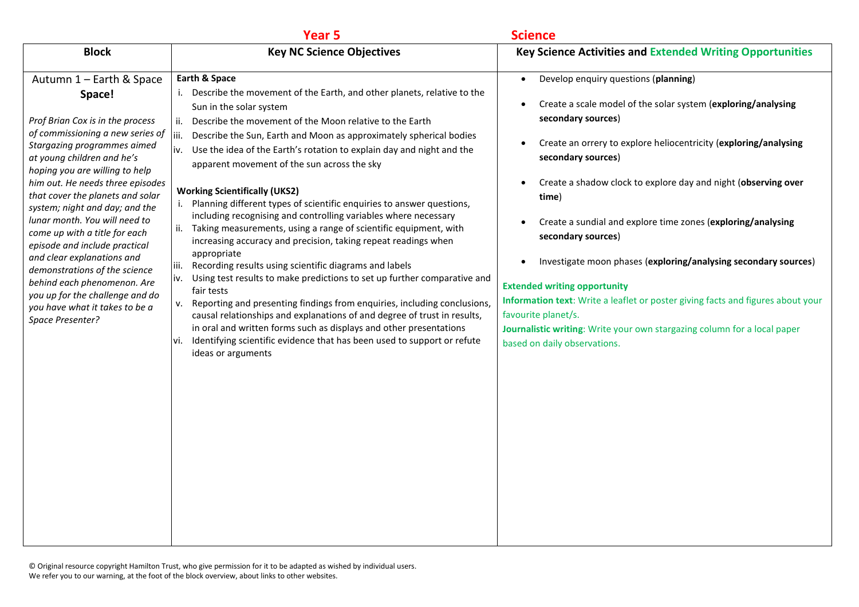|                                                                                                                                                                                                                                                                                                                                                                                                                                                                                                                                                                                                               | Year <sub>5</sub>                                                                                                                                                                                                                                                                                                                                                                                                                                                                                                                                                                                                                                                                                                                                                                                                                                                                                                                                                                                                                                                                                                                                                                                                                                                        | <b>Science</b>                                                                                                                                                                                                                                                                                                                                                                                                                                                                                                                                                                                                                                                                                                                      |
|---------------------------------------------------------------------------------------------------------------------------------------------------------------------------------------------------------------------------------------------------------------------------------------------------------------------------------------------------------------------------------------------------------------------------------------------------------------------------------------------------------------------------------------------------------------------------------------------------------------|--------------------------------------------------------------------------------------------------------------------------------------------------------------------------------------------------------------------------------------------------------------------------------------------------------------------------------------------------------------------------------------------------------------------------------------------------------------------------------------------------------------------------------------------------------------------------------------------------------------------------------------------------------------------------------------------------------------------------------------------------------------------------------------------------------------------------------------------------------------------------------------------------------------------------------------------------------------------------------------------------------------------------------------------------------------------------------------------------------------------------------------------------------------------------------------------------------------------------------------------------------------------------|-------------------------------------------------------------------------------------------------------------------------------------------------------------------------------------------------------------------------------------------------------------------------------------------------------------------------------------------------------------------------------------------------------------------------------------------------------------------------------------------------------------------------------------------------------------------------------------------------------------------------------------------------------------------------------------------------------------------------------------|
| <b>Block</b>                                                                                                                                                                                                                                                                                                                                                                                                                                                                                                                                                                                                  | <b>Key NC Science Objectives</b>                                                                                                                                                                                                                                                                                                                                                                                                                                                                                                                                                                                                                                                                                                                                                                                                                                                                                                                                                                                                                                                                                                                                                                                                                                         | <b>Key Science Activities and Extended Writing Opportunities</b>                                                                                                                                                                                                                                                                                                                                                                                                                                                                                                                                                                                                                                                                    |
| Autumn 1 - Earth & Space<br>Space!<br>Prof Brian Cox is in the process<br>of commissioning a new series of<br>Stargazing programmes aimed<br>at young children and he's<br>hoping you are willing to help<br>him out. He needs three episodes<br>that cover the planets and solar<br>system; night and day; and the<br>lunar month. You will need to<br>come up with a title for each<br>episode and include practical<br>and clear explanations and<br>demonstrations of the science<br>behind each phenomenon. Are<br>you up for the challenge and do<br>you have what it takes to be a<br>Space Presenter? | Earth & Space<br>i. Describe the movement of the Earth, and other planets, relative to the<br>Sun in the solar system<br>Describe the movement of the Moon relative to the Earth<br>ii.<br>Describe the Sun, Earth and Moon as approximately spherical bodies<br>liii.<br>Use the idea of the Earth's rotation to explain day and night and the<br>iv.<br>apparent movement of the sun across the sky<br><b>Working Scientifically (UKS2)</b><br>i. Planning different types of scientific enquiries to answer questions,<br>including recognising and controlling variables where necessary<br>Taking measurements, using a range of scientific equipment, with<br>ii.<br>increasing accuracy and precision, taking repeat readings when<br>appropriate<br>Recording results using scientific diagrams and labels<br>liii.<br>Using test results to make predictions to set up further comparative and<br>iv.<br>fair tests<br>Reporting and presenting findings from enquiries, including conclusions,<br>v.<br>causal relationships and explanations of and degree of trust in results,<br>in oral and written forms such as displays and other presentations<br>Identifying scientific evidence that has been used to support or refute<br>vi.<br>ideas or arguments | Develop enquiry questions (planning)<br>$\bullet$<br>Create a scale model of the solar system (exploring/analysing<br>secondary sources)<br>Create an orrery to explore heliocentricity (exploring/analysing<br>secondary sources)<br>Create a shadow clock to explore day and night (observing over<br>time)<br>Create a sundial and explore time zones (exploring/analysing<br>secondary sources)<br>Investigate moon phases (exploring/analysing secondary sources)<br><b>Extended writing opportunity</b><br>Information text: Write a leaflet or poster giving facts and figures about your<br>favourite planet/s.<br>Journalistic writing: Write your own stargazing column for a local paper<br>based on daily observations. |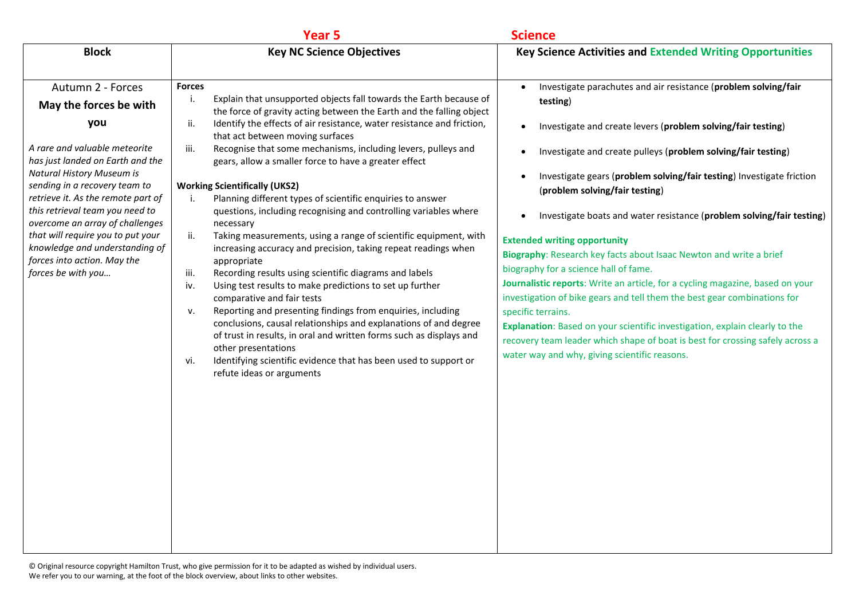| <b>Key NC Science Objectives</b><br><b>Key Science Activities and Extended Writing Opportunities</b><br><b>Block</b><br>Autumn 2 - Forces<br>Investigate parachutes and air resistance (problem solving/fair<br><b>Forces</b><br>$\bullet$<br>Explain that unsupported objects fall towards the Earth because of<br>j.<br>testing)<br>May the forces be with<br>the force of gravity acting between the Earth and the falling object<br>you<br>Identify the effects of air resistance, water resistance and friction,<br>ii.<br>Investigate and create levers (problem solving/fair testing)<br>$\bullet$<br>that act between moving surfaces<br>A rare and valuable meteorite<br>Recognise that some mechanisms, including levers, pulleys and<br>iii.<br>Investigate and create pulleys (problem solving/fair testing)<br>$\bullet$<br>has just landed on Earth and the<br>gears, allow a smaller force to have a greater effect<br><b>Natural History Museum is</b><br>Investigate gears (problem solving/fair testing) Investigate friction<br>$\bullet$<br>sending in a recovery team to<br><b>Working Scientifically (UKS2)</b><br>(problem solving/fair testing)<br>retrieve it. As the remote part of<br>Planning different types of scientific enquiries to answer<br>i.<br>this retrieval team you need to<br>questions, including recognising and controlling variables where<br>$\bullet$<br>overcome an array of challenges<br>necessary<br>that will require you to put your<br>Taking measurements, using a range of scientific equipment, with<br>ii.<br><b>Extended writing opportunity</b><br>knowledge and understanding of<br>increasing accuracy and precision, taking repeat readings when<br>Biography: Research key facts about Isaac Newton and write a brief<br>forces into action. May the<br>appropriate<br>biography for a science hall of fame.<br>forces be with you<br>Recording results using scientific diagrams and labels<br>iii.<br>Journalistic reports: Write an article, for a cycling magazine, based on your<br>Using test results to make predictions to set up further<br>iv.<br>investigation of bike gears and tell them the best gear combinations for<br>comparative and fair tests<br>Reporting and presenting findings from enquiries, including<br>v.<br>specific terrains.<br>conclusions, causal relationships and explanations of and degree<br>Explanation: Based on your scientific investigation, explain clearly to the<br>of trust in results, in oral and written forms such as displays and<br>recovery team leader which shape of boat is best for crossing safely across a<br>other presentations<br>water way and why, giving scientific reasons.<br>Identifying scientific evidence that has been used to support or<br>vi.<br>refute ideas or arguments | Year 5 | <b>Science</b>                                                        |
|---------------------------------------------------------------------------------------------------------------------------------------------------------------------------------------------------------------------------------------------------------------------------------------------------------------------------------------------------------------------------------------------------------------------------------------------------------------------------------------------------------------------------------------------------------------------------------------------------------------------------------------------------------------------------------------------------------------------------------------------------------------------------------------------------------------------------------------------------------------------------------------------------------------------------------------------------------------------------------------------------------------------------------------------------------------------------------------------------------------------------------------------------------------------------------------------------------------------------------------------------------------------------------------------------------------------------------------------------------------------------------------------------------------------------------------------------------------------------------------------------------------------------------------------------------------------------------------------------------------------------------------------------------------------------------------------------------------------------------------------------------------------------------------------------------------------------------------------------------------------------------------------------------------------------------------------------------------------------------------------------------------------------------------------------------------------------------------------------------------------------------------------------------------------------------------------------------------------------------------------------------------------------------------------------------------------------------------------------------------------------------------------------------------------------------------------------------------------------------------------------------------------------------------------------------------------------------------------------------------------------------------------------------------------------------------------------------------------------------------------------------------------------------------------------------------------------|--------|-----------------------------------------------------------------------|
|                                                                                                                                                                                                                                                                                                                                                                                                                                                                                                                                                                                                                                                                                                                                                                                                                                                                                                                                                                                                                                                                                                                                                                                                                                                                                                                                                                                                                                                                                                                                                                                                                                                                                                                                                                                                                                                                                                                                                                                                                                                                                                                                                                                                                                                                                                                                                                                                                                                                                                                                                                                                                                                                                                                                                                                                                           |        |                                                                       |
|                                                                                                                                                                                                                                                                                                                                                                                                                                                                                                                                                                                                                                                                                                                                                                                                                                                                                                                                                                                                                                                                                                                                                                                                                                                                                                                                                                                                                                                                                                                                                                                                                                                                                                                                                                                                                                                                                                                                                                                                                                                                                                                                                                                                                                                                                                                                                                                                                                                                                                                                                                                                                                                                                                                                                                                                                           |        | Investigate boats and water resistance (problem solving/fair testing) |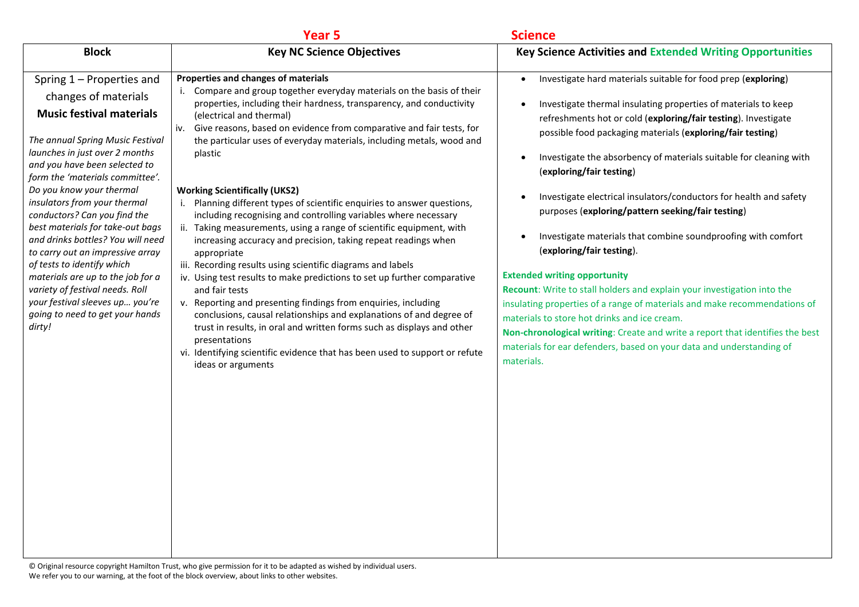|                                                                                                                                                                                                                                                                                                                                                                                                                                                                                                                                                                                                                               | <b>Year 5</b>                                                                                                                                                                                                                                                                                                                                                                                                                                                                                                                                                                                                                                                                                                                                                                                                                                                                                                                                                                                                                                                                                                                                                                                                                           | <b>Science</b>                                                                                                                                                                                                                                                                                                                                                                                                                                                                                                                                                                                                                                                                                                                                                                                                                                                                                                                                                                                                                |
|-------------------------------------------------------------------------------------------------------------------------------------------------------------------------------------------------------------------------------------------------------------------------------------------------------------------------------------------------------------------------------------------------------------------------------------------------------------------------------------------------------------------------------------------------------------------------------------------------------------------------------|-----------------------------------------------------------------------------------------------------------------------------------------------------------------------------------------------------------------------------------------------------------------------------------------------------------------------------------------------------------------------------------------------------------------------------------------------------------------------------------------------------------------------------------------------------------------------------------------------------------------------------------------------------------------------------------------------------------------------------------------------------------------------------------------------------------------------------------------------------------------------------------------------------------------------------------------------------------------------------------------------------------------------------------------------------------------------------------------------------------------------------------------------------------------------------------------------------------------------------------------|-------------------------------------------------------------------------------------------------------------------------------------------------------------------------------------------------------------------------------------------------------------------------------------------------------------------------------------------------------------------------------------------------------------------------------------------------------------------------------------------------------------------------------------------------------------------------------------------------------------------------------------------------------------------------------------------------------------------------------------------------------------------------------------------------------------------------------------------------------------------------------------------------------------------------------------------------------------------------------------------------------------------------------|
| <b>Block</b>                                                                                                                                                                                                                                                                                                                                                                                                                                                                                                                                                                                                                  | <b>Key NC Science Objectives</b>                                                                                                                                                                                                                                                                                                                                                                                                                                                                                                                                                                                                                                                                                                                                                                                                                                                                                                                                                                                                                                                                                                                                                                                                        | <b>Key Science Activities and Extended Writing Opportunities</b>                                                                                                                                                                                                                                                                                                                                                                                                                                                                                                                                                                                                                                                                                                                                                                                                                                                                                                                                                              |
| Spring 1 - Properties and<br>changes of materials<br><b>Music festival materials</b><br>The annual Spring Music Festival<br>launches in just over 2 months<br>and you have been selected to<br>form the 'materials committee'.<br>Do you know your thermal<br>insulators from your thermal<br>conductors? Can you find the<br>best materials for take-out bags<br>and drinks bottles? You will need<br>to carry out an impressive array<br>of tests to identify which<br>materials are up to the job for a<br>variety of festival needs. Roll<br>your festival sleeves up you're<br>going to need to get your hands<br>dirty! | Properties and changes of materials<br>i. Compare and group together everyday materials on the basis of their<br>properties, including their hardness, transparency, and conductivity<br>(electrical and thermal)<br>iv. Give reasons, based on evidence from comparative and fair tests, for<br>the particular uses of everyday materials, including metals, wood and<br>plastic<br><b>Working Scientifically (UKS2)</b><br>i. Planning different types of scientific enquiries to answer questions,<br>including recognising and controlling variables where necessary<br>ii. Taking measurements, using a range of scientific equipment, with<br>increasing accuracy and precision, taking repeat readings when<br>appropriate<br>iii. Recording results using scientific diagrams and labels<br>iv. Using test results to make predictions to set up further comparative<br>and fair tests<br>v. Reporting and presenting findings from enquiries, including<br>conclusions, causal relationships and explanations of and degree of<br>trust in results, in oral and written forms such as displays and other<br>presentations<br>vi. Identifying scientific evidence that has been used to support or refute<br>ideas or arguments | Investigate hard materials suitable for food prep (exploring)<br>$\bullet$<br>Investigate thermal insulating properties of materials to keep<br>refreshments hot or cold (exploring/fair testing). Investigate<br>possible food packaging materials (exploring/fair testing)<br>Investigate the absorbency of materials suitable for cleaning with<br>(exploring/fair testing)<br>Investigate electrical insulators/conductors for health and safety<br>purposes (exploring/pattern seeking/fair testing)<br>Investigate materials that combine soundproofing with comfort<br>(exploring/fair testing).<br><b>Extended writing opportunity</b><br>Recount: Write to stall holders and explain your investigation into the<br>insulating properties of a range of materials and make recommendations of<br>materials to store hot drinks and ice cream.<br>Non-chronological writing: Create and write a report that identifies the best<br>materials for ear defenders, based on your data and understanding of<br>materials. |
|                                                                                                                                                                                                                                                                                                                                                                                                                                                                                                                                                                                                                               |                                                                                                                                                                                                                                                                                                                                                                                                                                                                                                                                                                                                                                                                                                                                                                                                                                                                                                                                                                                                                                                                                                                                                                                                                                         |                                                                                                                                                                                                                                                                                                                                                                                                                                                                                                                                                                                                                                                                                                                                                                                                                                                                                                                                                                                                                               |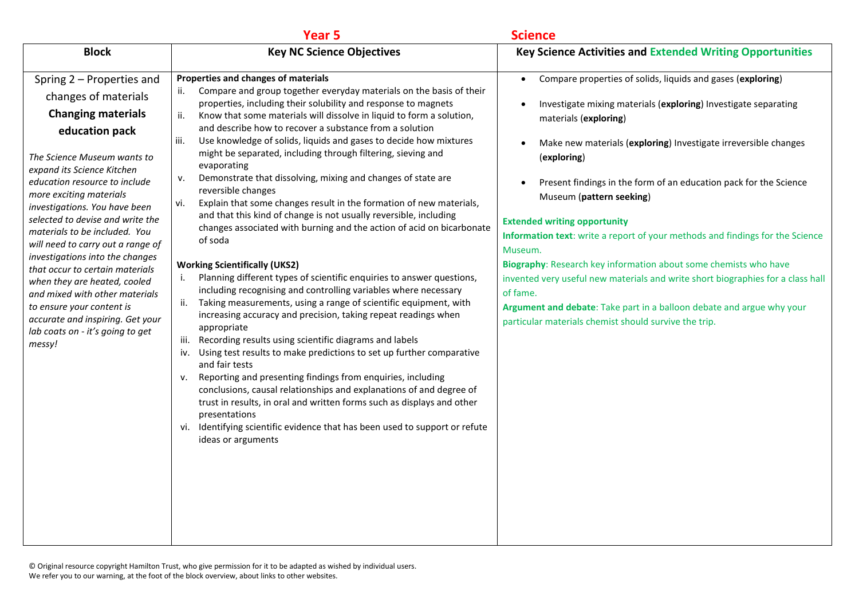|                                                                                                                                                                                                                                                                                                                                                                                                                                                                                                                                                                                                                             | Year <sub>5</sub>                                                                                                                                                                                                                                                                                                                                                                                                                                                                                                                                                                                                                                                                                                                                                                                                                                                                                                                                                                                                                                                                                                                                                                                                                                                                                                                                                                                                                                                                                                                                                                                                                                                                           | <b>Science</b>                                                                                                                                                                                                                                                                                                                                                                                                                                                                                                                                                                                                                                                                                                                                                                                                            |
|-----------------------------------------------------------------------------------------------------------------------------------------------------------------------------------------------------------------------------------------------------------------------------------------------------------------------------------------------------------------------------------------------------------------------------------------------------------------------------------------------------------------------------------------------------------------------------------------------------------------------------|---------------------------------------------------------------------------------------------------------------------------------------------------------------------------------------------------------------------------------------------------------------------------------------------------------------------------------------------------------------------------------------------------------------------------------------------------------------------------------------------------------------------------------------------------------------------------------------------------------------------------------------------------------------------------------------------------------------------------------------------------------------------------------------------------------------------------------------------------------------------------------------------------------------------------------------------------------------------------------------------------------------------------------------------------------------------------------------------------------------------------------------------------------------------------------------------------------------------------------------------------------------------------------------------------------------------------------------------------------------------------------------------------------------------------------------------------------------------------------------------------------------------------------------------------------------------------------------------------------------------------------------------------------------------------------------------|---------------------------------------------------------------------------------------------------------------------------------------------------------------------------------------------------------------------------------------------------------------------------------------------------------------------------------------------------------------------------------------------------------------------------------------------------------------------------------------------------------------------------------------------------------------------------------------------------------------------------------------------------------------------------------------------------------------------------------------------------------------------------------------------------------------------------|
| <b>Block</b>                                                                                                                                                                                                                                                                                                                                                                                                                                                                                                                                                                                                                | <b>Key NC Science Objectives</b>                                                                                                                                                                                                                                                                                                                                                                                                                                                                                                                                                                                                                                                                                                                                                                                                                                                                                                                                                                                                                                                                                                                                                                                                                                                                                                                                                                                                                                                                                                                                                                                                                                                            | <b>Key Science Activities and Extended Writing Opportunities</b>                                                                                                                                                                                                                                                                                                                                                                                                                                                                                                                                                                                                                                                                                                                                                          |
| Spring 2 - Properties and<br>changes of materials<br><b>Changing materials</b><br>education pack<br>The Science Museum wants to<br>expand its Science Kitchen<br>education resource to include<br>more exciting materials<br>investigations. You have been<br>selected to devise and write the<br>materials to be included. You<br>will need to carry out a range of<br>investigations into the changes<br>that occur to certain materials<br>when they are heated, cooled<br>and mixed with other materials<br>to ensure your content is<br>accurate and inspiring. Get your<br>lab coats on - it's going to get<br>messy! | Properties and changes of materials<br>Compare and group together everyday materials on the basis of their<br>ii.<br>properties, including their solubility and response to magnets<br>ii.<br>Know that some materials will dissolve in liquid to form a solution,<br>and describe how to recover a substance from a solution<br>Use knowledge of solids, liquids and gases to decide how mixtures<br>iii.<br>might be separated, including through filtering, sieving and<br>evaporating<br>Demonstrate that dissolving, mixing and changes of state are<br>v.<br>reversible changes<br>Explain that some changes result in the formation of new materials,<br>vi.<br>and that this kind of change is not usually reversible, including<br>changes associated with burning and the action of acid on bicarbonate<br>of soda<br><b>Working Scientifically (UKS2)</b><br>Planning different types of scientific enquiries to answer questions,<br>i.<br>including recognising and controlling variables where necessary<br>ii. Taking measurements, using a range of scientific equipment, with<br>increasing accuracy and precision, taking repeat readings when<br>appropriate<br>Recording results using scientific diagrams and labels<br>iii.<br>iv. Using test results to make predictions to set up further comparative<br>and fair tests<br>Reporting and presenting findings from enquiries, including<br>v.<br>conclusions, causal relationships and explanations of and degree of<br>trust in results, in oral and written forms such as displays and other<br>presentations<br>vi. Identifying scientific evidence that has been used to support or refute<br>ideas or arguments | Compare properties of solids, liquids and gases (exploring)<br>$\bullet$<br>Investigate mixing materials (exploring) Investigate separating<br>$\bullet$<br>materials (exploring)<br>Make new materials (exploring) Investigate irreversible changes<br>(exploring)<br>Present findings in the form of an education pack for the Science<br>$\bullet$<br>Museum (pattern seeking)<br><b>Extended writing opportunity</b><br>Information text: write a report of your methods and findings for the Science<br>Museum.<br>Biography: Research key information about some chemists who have<br>invented very useful new materials and write short biographies for a class hall<br>of fame.<br>Argument and debate: Take part in a balloon debate and argue why your<br>particular materials chemist should survive the trip. |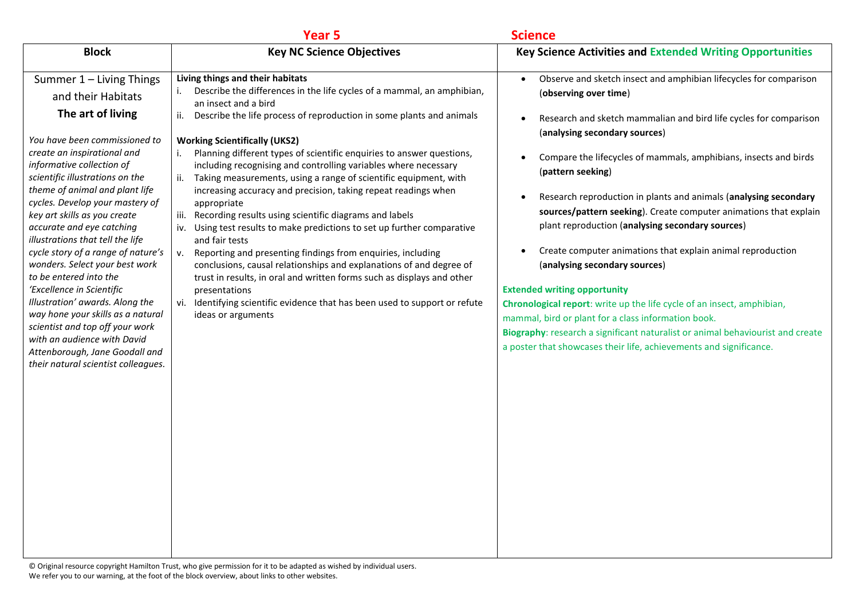|                                                                                                                                                                                                                                                                                                                                                                                                                                                                                                                                                                                                                                                                                                                             | Year <sub>5</sub>                                                                                                                                                                                                                                                                                                                                                                                                                                                                                                                                                                                                                                                                                                                                                                                                                                                                                                                                                                                                                                                          | <b>Science</b>                                                                                                                                                                                                                                                                                                                                                                                                                                                                                                                                                                                                                                                                                                                                                                                                                                                                                                                                   |
|-----------------------------------------------------------------------------------------------------------------------------------------------------------------------------------------------------------------------------------------------------------------------------------------------------------------------------------------------------------------------------------------------------------------------------------------------------------------------------------------------------------------------------------------------------------------------------------------------------------------------------------------------------------------------------------------------------------------------------|----------------------------------------------------------------------------------------------------------------------------------------------------------------------------------------------------------------------------------------------------------------------------------------------------------------------------------------------------------------------------------------------------------------------------------------------------------------------------------------------------------------------------------------------------------------------------------------------------------------------------------------------------------------------------------------------------------------------------------------------------------------------------------------------------------------------------------------------------------------------------------------------------------------------------------------------------------------------------------------------------------------------------------------------------------------------------|--------------------------------------------------------------------------------------------------------------------------------------------------------------------------------------------------------------------------------------------------------------------------------------------------------------------------------------------------------------------------------------------------------------------------------------------------------------------------------------------------------------------------------------------------------------------------------------------------------------------------------------------------------------------------------------------------------------------------------------------------------------------------------------------------------------------------------------------------------------------------------------------------------------------------------------------------|
| <b>Block</b>                                                                                                                                                                                                                                                                                                                                                                                                                                                                                                                                                                                                                                                                                                                | <b>Key NC Science Objectives</b>                                                                                                                                                                                                                                                                                                                                                                                                                                                                                                                                                                                                                                                                                                                                                                                                                                                                                                                                                                                                                                           | <b>Key Science Activities and Extended Writing Opportunities</b>                                                                                                                                                                                                                                                                                                                                                                                                                                                                                                                                                                                                                                                                                                                                                                                                                                                                                 |
| Summer 1 - Living Things<br>and their Habitats<br>The art of living<br>You have been commissioned to<br>create an inspirational and<br>informative collection of<br>scientific illustrations on the<br>theme of animal and plant life<br>cycles. Develop your mastery of<br>key art skills as you create<br>accurate and eye catching<br>illustrations that tell the life<br>cycle story of a range of nature's<br>wonders. Select your best work<br>to be entered into the<br>'Excellence in Scientific<br>Illustration' awards. Along the<br>way hone your skills as a natural<br>scientist and top off your work<br>with an audience with David<br>Attenborough, Jane Goodall and<br>their natural scientist colleagues. | Living things and their habitats<br>Describe the differences in the life cycles of a mammal, an amphibian,<br>an insect and a bird<br>Describe the life process of reproduction in some plants and animals<br>ii.<br><b>Working Scientifically (UKS2)</b><br>Planning different types of scientific enquiries to answer questions,<br>including recognising and controlling variables where necessary<br>Taking measurements, using a range of scientific equipment, with<br>ii.<br>increasing accuracy and precision, taking repeat readings when<br>appropriate<br>iii. Recording results using scientific diagrams and labels<br>iv. Using test results to make predictions to set up further comparative<br>and fair tests<br>Reporting and presenting findings from enquiries, including<br>v.<br>conclusions, causal relationships and explanations of and degree of<br>trust in results, in oral and written forms such as displays and other<br>presentations<br>vi. Identifying scientific evidence that has been used to support or refute<br>ideas or arguments | Observe and sketch insect and amphibian lifecycles for comparison<br>$\bullet$<br>(observing over time)<br>Research and sketch mammalian and bird life cycles for comparison<br>(analysing secondary sources)<br>Compare the lifecycles of mammals, amphibians, insects and birds<br>(pattern seeking)<br>Research reproduction in plants and animals (analysing secondary<br>$\bullet$<br>sources/pattern seeking). Create computer animations that explain<br>plant reproduction (analysing secondary sources)<br>Create computer animations that explain animal reproduction<br>(analysing secondary sources)<br><b>Extended writing opportunity</b><br>Chronological report: write up the life cycle of an insect, amphibian,<br>mammal, bird or plant for a class information book.<br>Biography: research a significant naturalist or animal behaviourist and create<br>a poster that showcases their life, achievements and significance. |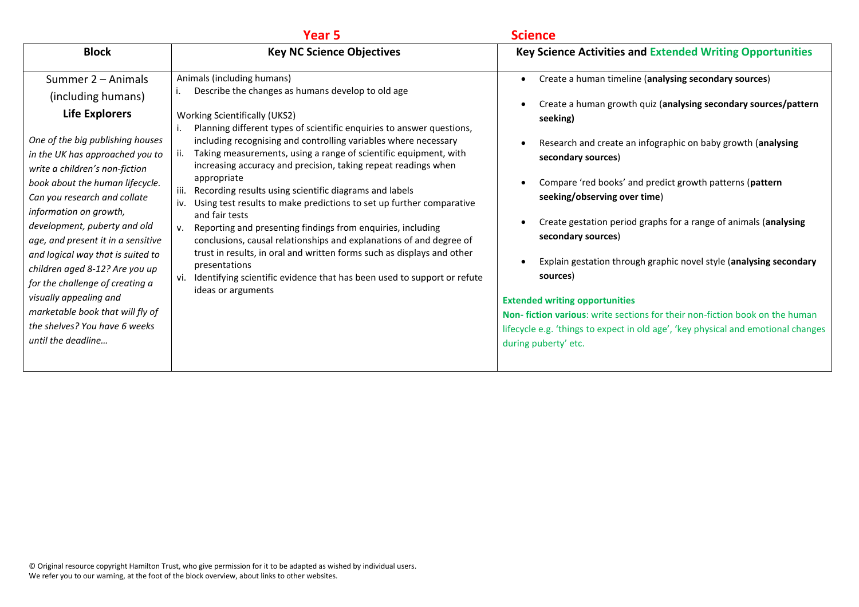|                                                                                                                                                                                                                                                                                                                                                                                                                                                                                                                                                                              | Year 5                                                                                                                                                                                                                                                                                                                                                                                                                                                                                                                                                                                                                                                                                                                                                                                                                                                                                                                                       | <b>Science</b>                                                                                                                                                                                                                                                                                                                                                                                                                                                                                                                                                                                                                                                                                                                          |
|------------------------------------------------------------------------------------------------------------------------------------------------------------------------------------------------------------------------------------------------------------------------------------------------------------------------------------------------------------------------------------------------------------------------------------------------------------------------------------------------------------------------------------------------------------------------------|----------------------------------------------------------------------------------------------------------------------------------------------------------------------------------------------------------------------------------------------------------------------------------------------------------------------------------------------------------------------------------------------------------------------------------------------------------------------------------------------------------------------------------------------------------------------------------------------------------------------------------------------------------------------------------------------------------------------------------------------------------------------------------------------------------------------------------------------------------------------------------------------------------------------------------------------|-----------------------------------------------------------------------------------------------------------------------------------------------------------------------------------------------------------------------------------------------------------------------------------------------------------------------------------------------------------------------------------------------------------------------------------------------------------------------------------------------------------------------------------------------------------------------------------------------------------------------------------------------------------------------------------------------------------------------------------------|
| <b>Block</b>                                                                                                                                                                                                                                                                                                                                                                                                                                                                                                                                                                 | <b>Key NC Science Objectives</b>                                                                                                                                                                                                                                                                                                                                                                                                                                                                                                                                                                                                                                                                                                                                                                                                                                                                                                             | <b>Key Science Activities and Extended Writing Opportunities</b>                                                                                                                                                                                                                                                                                                                                                                                                                                                                                                                                                                                                                                                                        |
| Summer 2 - Animals<br>(including humans)<br><b>Life Explorers</b><br>One of the big publishing houses<br>in the UK has approached you to<br>write a children's non-fiction<br>book about the human lifecycle.<br>Can you research and collate<br>information on growth,<br>development, puberty and old<br>age, and present it in a sensitive<br>and logical way that is suited to<br>children aged 8-12? Are you up<br>for the challenge of creating a<br>visually appealing and<br>marketable book that will fly of<br>the shelves? You have 6 weeks<br>until the deadline | Animals (including humans)<br>Describe the changes as humans develop to old age<br><b>Working Scientifically (UKS2)</b><br>Planning different types of scientific enquiries to answer questions,<br>including recognising and controlling variables where necessary<br>Taking measurements, using a range of scientific equipment, with<br>increasing accuracy and precision, taking repeat readings when<br>appropriate<br>Recording results using scientific diagrams and labels<br>iii.<br>Using test results to make predictions to set up further comparative<br>iv.<br>and fair tests<br>Reporting and presenting findings from enquiries, including<br>$V_{\cdot}$<br>conclusions, causal relationships and explanations of and degree of<br>trust in results, in oral and written forms such as displays and other<br>presentations<br>Identifying scientific evidence that has been used to support or refute<br>ideas or arguments | Create a human timeline (analysing secondary sources)<br>Create a human growth quiz (analysing secondary sources/pattern<br>seeking)<br>Research and create an infographic on baby growth (analysing<br>secondary sources)<br>Compare 'red books' and predict growth patterns (pattern<br>seeking/observing over time)<br>Create gestation period graphs for a range of animals (analysing<br>secondary sources)<br>Explain gestation through graphic novel style (analysing secondary<br>sources)<br><b>Extended writing opportunities</b><br>Non-fiction various: write sections for their non-fiction book on the human<br>lifecycle e.g. 'things to expect in old age', 'key physical and emotional changes<br>during puberty' etc. |